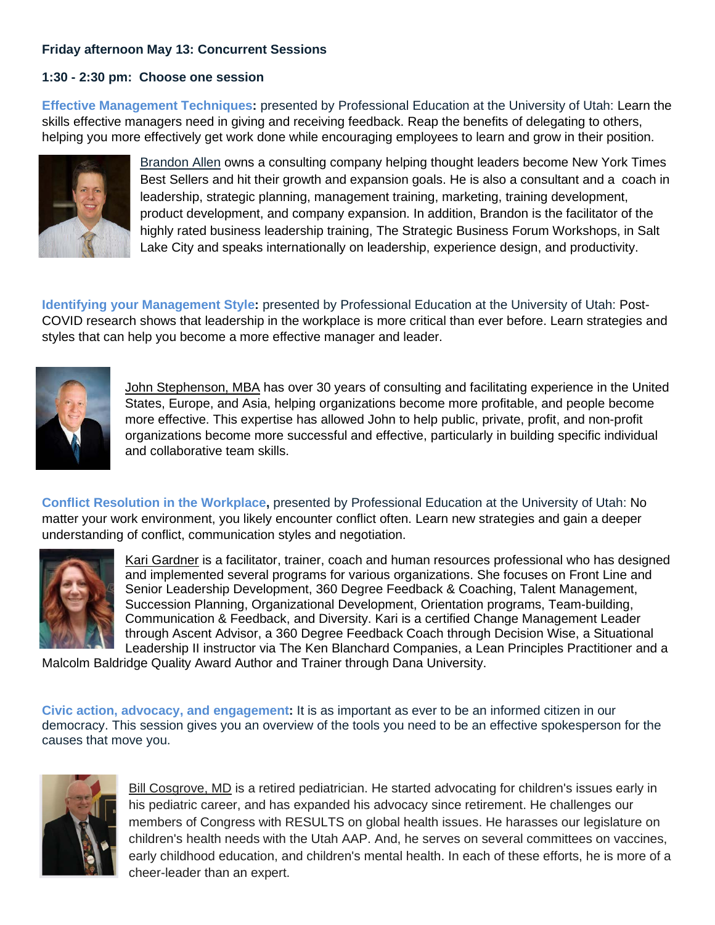## **Friday afternoon May 13: Concurrent Sessions**

## **1:30 - 2:30 pm: Choose one session**

**Effective Management Techniques:** presented by Professional Education at the University of Utah: Learn the skills effective managers need in giving and receiving feedback. Reap the benefits of delegating to others, helping you more effectively get work done while encouraging employees to learn and grow in their position.



Brandon Allen owns a consulting company helping thought leaders become New York Times Best Sellers and hit their growth and expansion goals. He is also a consultant and a coach in leadership, strategic planning, management training, marketing, training development, product development, and company expansion. In addition, Brandon is the facilitator of the highly rated business leadership training, The Strategic Business Forum Workshops, in Salt Lake City and speaks internationally on leadership, experience design, and productivity.

**Identifying your Management Style:** presented by Professional Education at the University of Utah: Post-COVID research shows that leadership in the workplace is more critical than ever before. Learn strategies and styles that can help you become a more effective manager and leader.



John Stephenson, MBA has over 30 years of consulting and facilitating experience in the United States, Europe, and Asia, helping organizations become more profitable, and people become more effective. This expertise has allowed John to help public, private, profit, and non-profit organizations become more successful and effective, particularly in building specific individual and collaborative team skills.

**Conflict Resolution in the Workplace,** presented by Professional Education at the University of Utah: No matter your work environment, you likely encounter conflict often. Learn new strategies and gain a deeper understanding of conflict, communication styles and negotiation.



Kari Gardner is a facilitator, trainer, coach and human resources professional who has designed and implemented several programs for various organizations. She focuses on Front Line and Senior Leadership Development, 360 Degree Feedback & Coaching, Talent Management, Succession Planning, Organizational Development, Orientation programs, Team-building, Communication & Feedback, and Diversity. Kari is a certified Change Management Leader through Ascent Advisor, a 360 Degree Feedback Coach through Decision Wise, a Situational Leadership II instructor via The Ken Blanchard Companies, a Lean Principles Practitioner and a

Malcolm Baldridge Quality Award Author and Trainer through Dana University.

**Civic action, advocacy, and engagement:** It is as important as ever to be an informed citizen in our democracy. This session gives you an overview of the tools you need to be an effective spokesperson for the causes that move you.



Bill Cosgrove, MD is a retired pediatrician. He started advocating for children's issues early in his pediatric career, and has expanded his advocacy since retirement. He challenges our members of Congress with RESULTS on global health issues. He harasses our legislature on children's health needs with the Utah AAP. And, he serves on several committees on vaccines, early childhood education, and children's mental health. In each of these efforts, he is more of a cheer-leader than an expert.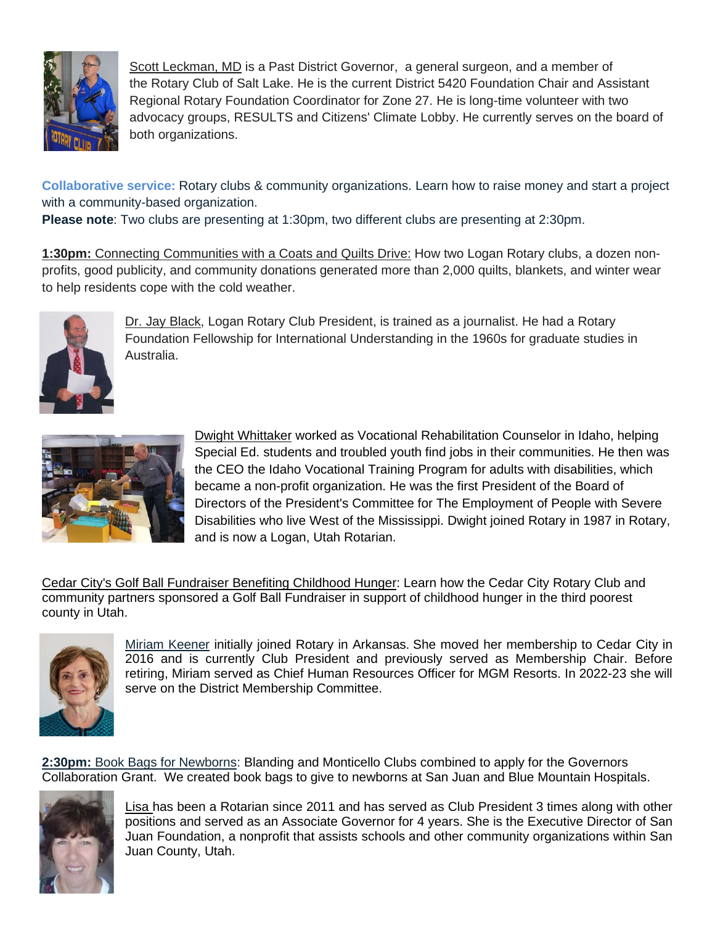

Scott Leckman, MD is a Past District Governor, a general surgeon, and a member of the Rotary Club of Salt Lake. He is the current District 5420 Foundation Chair and Assistant Regional Rotary Foundation Coordinator for Zone 27. He is long-time volunteer with two advocacy groups, RESULTS and Citizens' Climate Lobby. He currently serves on the board of both organizations.

**Collaborative service:** Rotary clubs & community organizations. Learn how to raise money and start a project with a community-based organization.

**Please note**: Two clubs are presenting at 1:30pm, two different clubs are presenting at 2:30pm.

**1:30pm:** Connecting Communities with a Coats and Quilts Drive: How two Logan Rotary clubs, a dozen nonprofits, good publicity, and community donations generated more than 2,000 quilts, blankets, and winter wear to help residents cope with the cold weather.



Dr. Jay Black, Logan Rotary Club President, is trained as a journalist. He had a Rotary Foundation Fellowship for International Understanding in the 1960s for graduate studies in Australia.



Dwight Whittaker worked as Vocational Rehabilitation Counselor in Idaho, helping Special Ed. students and troubled youth find jobs in their communities. He then was the CEO the Idaho Vocational Training Program for adults with disabilities, which became a non-profit organization. He was the first President of the Board of Directors of the President's Committee for The Employment of People with Severe Disabilities who live West of the Mississippi. Dwight joined Rotary in 1987 in Rotary, and is now a Logan, Utah Rotarian.

Cedar City's Golf Ball Fundraiser Benefiting Childhood Hunger: Learn how the Cedar City Rotary Club and community partners sponsored a Golf Ball Fundraiser in support of childhood hunger in the third poorest county in Utah.



Miriam Keener initially joined Rotary in Arkansas. She moved her membership to Cedar City in 2016 and is currently Club President and previously served as Membership Chair. Before retiring, Miriam served as Chief Human Resources Officer for MGM Resorts. In 2022-23 she will serve on the District Membership Committee.

**2:30pm:** Book Bags for Newborns: Blanding and Monticello Clubs combined to apply for the Governors Collaboration Grant. We created book bags to give to newborns at San Juan and Blue Mountain Hospitals.



Lisa has been a Rotarian since 2011 and has served as Club President 3 times along with other positions and served as an Associate Governor for 4 years. She is the Executive Director of San Juan Foundation, a nonprofit that assists schools and other community organizations within San Juan County, Utah.